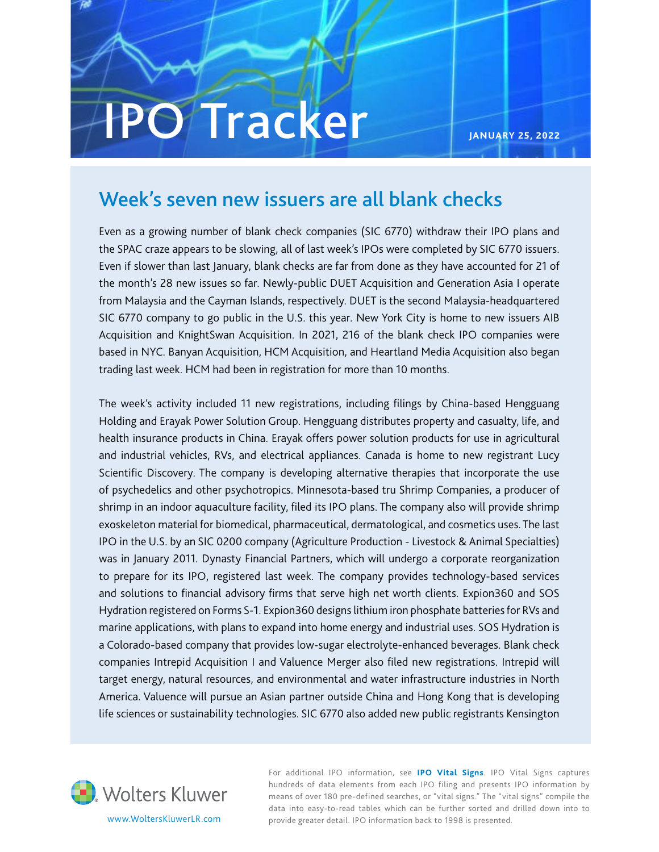# **IPO** Tracker

**JANUARY 25, 2022**

#### Week's seven new issuers are all blank checks

Even as a growing number of blank check companies (SIC 6770) withdraw their IPO plans and the SPAC craze appears to be slowing, all of last week's IPOs were completed by SIC 6770 issuers. Even if slower than last January, blank checks are far from done as they have accounted for 21 of the month's 28 new issues so far. Newly-public DUET Acquisition and Generation Asia I operate from Malaysia and the Cayman Islands, respectively. DUET is the second Malaysia-headquartered SIC 6770 company to go public in the U.S. this year. New York City is home to new issuers AIB Acquisition and KnightSwan Acquisition. In 2021, 216 of the blank check IPO companies were based in NYC. Banyan Acquisition, HCM Acquisition, and Heartland Media Acquisition also began trading last week. HCM had been in registration for more than 10 months.

The week's activity included 11 new registrations, including filings by China-based Hengguang Holding and Erayak Power Solution Group. Hengguang distributes property and casualty, life, and health insurance products in China. Erayak offers power solution products for use in agricultural and industrial vehicles, RVs, and electrical appliances. Canada is home to new registrant Lucy Scientific Discovery. The company is developing alternative therapies that incorporate the use of psychedelics and other psychotropics. Minnesota-based tru Shrimp Companies, a producer of shrimp in an indoor aquaculture facility, filed its IPO plans. The company also will provide shrimp exoskeleton material for biomedical, pharmaceutical, dermatological, and cosmetics uses. The last IPO in the U.S. by an SIC 0200 company (Agriculture Production - Livestock & Animal Specialties) was in January 2011. Dynasty Financial Partners, which will undergo a corporate reorganization to prepare for its IPO, registered last week. The company provides technology-based services and solutions to financial advisory firms that serve high net worth clients. Expion360 and SOS Hydration registered on Forms S-1. Expion360 designs lithium iron phosphate batteries for RVs and marine applications, with plans to expand into home energy and industrial uses. SOS Hydration is a Colorado-based company that provides low-sugar electrolyte-enhanced beverages. Blank check companies Intrepid Acquisition I and Valuence Merger also filed new registrations. Intrepid will target energy, natural resources, and environmental and water infrastructure industries in North America. Valuence will pursue an Asian partner outside China and Hong Kong that is developing life sciences or sustainability technologies. SIC 6770 also added new public registrants Kensington



For additional IPO information, see **[IPO Vital Signs](http://www.wklawbusiness.com/store/products/ipo-vital-signs-prod-000000000010032117/internet-item-1-000000000010032117)**. IPO Vital Signs captures hundreds of data elements from each IPO filing and presents IPO information by means of over 180 pre-defined searches, or "vital signs." The "vital signs" compile the data into easy-to-read tables which can be further sorted and drilled down into to www.WoltersKluwerLR.com provide greater detail. IPO information back to 1998 is presented.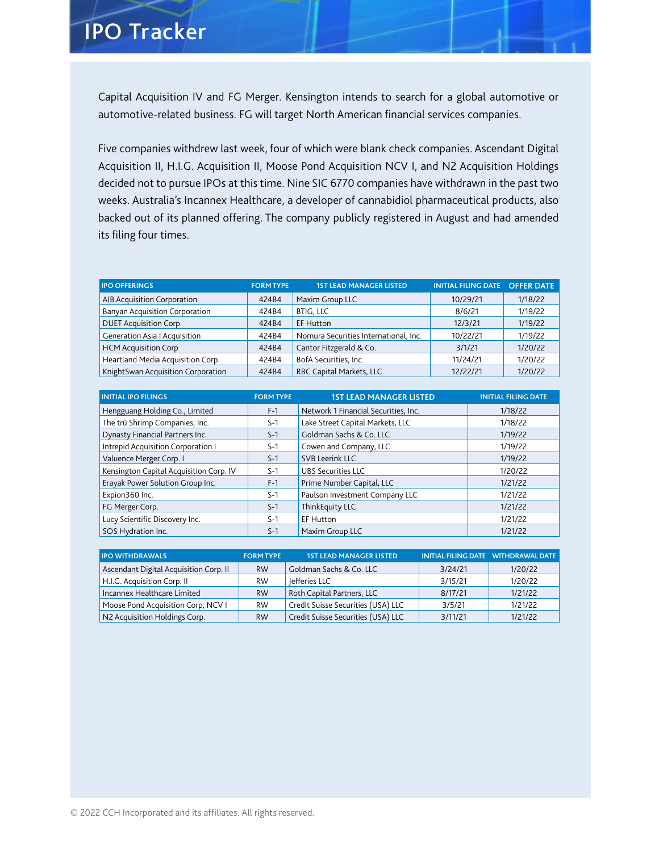### **IPO Tracker**

Capital Acquisition IV and FG Merger. Kensington intends to search for a global automotive or automotive-related business. FG will target North American financial services companies.

Five companies withdrew last week, four of which were blank check companies. Ascendant Digital Acquisition II, H.I.G. Acquisition II, Moose Pond Acquisition NCV I, and N2 Acquisition Holdings decided not to pursue IPOs at this time. Nine SIC 6770 companies have withdrawn in the past two weeks. Australia's Incannex Healthcare, a developer of cannabidiol pharmaceutical products, also backed out of its planned offering. The company publicly registered in August and had amended its filing four times.

| <b>IPO OFFERINGS</b>                  | <b>FORM TYPE</b> | <b>1ST LEAD MANAGER LISTED</b>        | INITIAL FILING DATE OFFER DATE |         |
|---------------------------------------|------------------|---------------------------------------|--------------------------------|---------|
| AIB Acquisition Corporation           | 424B4            | Maxim Group LLC                       | 10/29/21                       | 1/18/22 |
| <b>Banyan Acquisition Corporation</b> | 424B4            | <b>BTIG, LLC</b>                      | 8/6/21                         | 1/19/22 |
| <b>DUET Acquisition Corp.</b>         | 424B4            | <b>EF Hutton</b>                      | 12/3/21                        | 1/19/22 |
| <b>Generation Asia   Acquisition</b>  | 424B4            | Nomura Securities International, Inc. | 10/22/21                       | 1/19/22 |
| <b>HCM Acquisition Corp</b>           | 424B4            | Cantor Fitzgerald & Co.               | 3/1/21                         | 1/20/22 |
| Heartland Media Acquisition Corp.     | 424B4            | BofA Securities, Inc.                 | 11/24/21                       | 1/20/22 |
| KnightSwan Acquisition Corporation    | 424B4            | RBC Capital Markets, LLC              | 12/22/21                       | 1/20/22 |

| <b>INITIAL IPO FILINGS</b>              | <b>FORM TYPE</b> | <b>1ST LEAD MANAGER LISTED</b>       | <b>INITIAL FILING DATE</b> |
|-----------------------------------------|------------------|--------------------------------------|----------------------------|
| Hengguang Holding Co., Limited          | $F-1$            | Network 1 Financial Securities, Inc. | 1/18/22                    |
| The trū Shrimp Companies, Inc.          | $S-1$            | Lake Street Capital Markets, LLC     | 1/18/22                    |
| Dynasty Financial Partners Inc.         | $S-1$            | Goldman Sachs & Co. LLC              | 1/19/22                    |
| Intrepid Acquisition Corporation I      | $S-1$            | Cowen and Company, LLC               | 1/19/22                    |
| Valuence Merger Corp. I                 | $S-1$            | <b>SVB Leerink LLC</b>               | 1/19/22                    |
| Kensington Capital Acquisition Corp. IV | $S-1$            | <b>UBS Securities LLC</b>            | 1/20/22                    |
| Erayak Power Solution Group Inc.        | $F-1$            | Prime Number Capital, LLC            | 1/21/22                    |
| Expion360 Inc.                          | $S-1$            | Paulson Investment Company LLC       | 1/21/22                    |
| FG Merger Corp.                         | $S-1$            | ThinkEquity LLC                      | 1/21/22                    |
| Lucy Scientific Discovery Inc.          | $S-1$            | EF Hutton                            | 1/21/22                    |
| SOS Hydration Inc.                      | $S-1$            | Maxim Group LLC                      | 1/21/22                    |

| <b>IPO WITHDRAWALS</b>                 | <b>FORM TYPE</b> | <b>1ST LEAD MANAGER LISTED</b>     |         | INITIAL FILING DATE WITHDRAWAL DATE |
|----------------------------------------|------------------|------------------------------------|---------|-------------------------------------|
| Ascendant Digital Acquisition Corp. II | <b>RW</b>        | Goldman Sachs & Co. LLC            | 3/24/21 | 1/20/22                             |
| H.I.G. Acquisition Corp. II            | <b>RW</b>        | lefferies LLC                      | 3/15/21 | 1/20/22                             |
| Incannex Healthcare Limited            | <b>RW</b>        | Roth Capital Partners, LLC         | 8/17/21 | 1/21/22                             |
| Moose Pond Acquisition Corp, NCV I     | <b>RW</b>        | Credit Suisse Securities (USA) LLC | 3/5/21  | 1/21/22                             |
| N2 Acquisition Holdings Corp.          | <b>RW</b>        | Credit Suisse Securities (USA) LLC | 3/11/21 | 1/21/22                             |